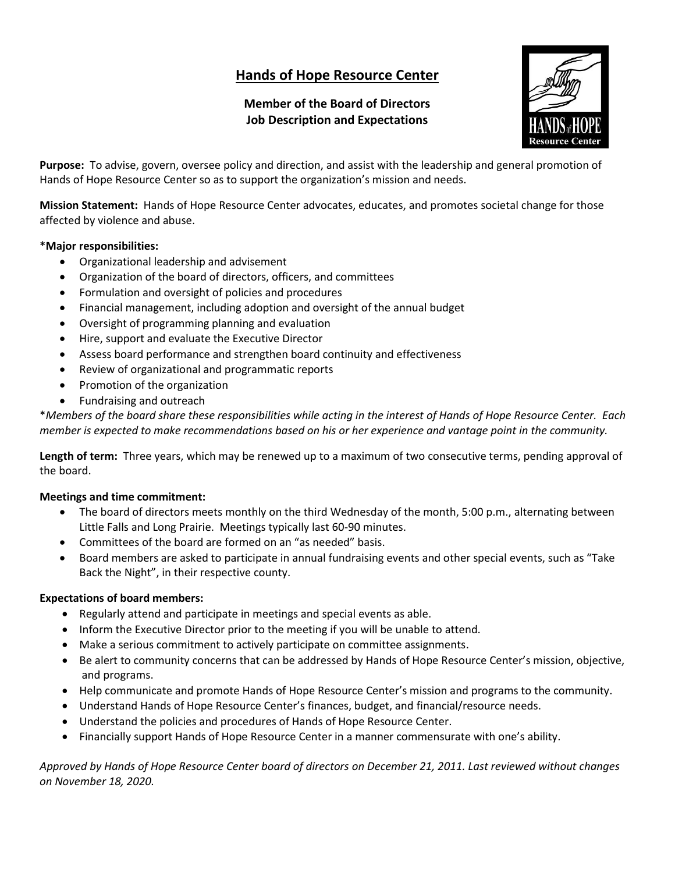# **Hands of Hope Resource Center**

# **Member of the Board of Directors Job Description and Expectations**



**Purpose:** To advise, govern, oversee policy and direction, and assist with the leadership and general promotion of Hands of Hope Resource Center so as to support the organization's mission and needs.

**Mission Statement:** Hands of Hope Resource Center advocates, educates, and promotes societal change for those affected by violence and abuse.

# **\*Major responsibilities:**

- Organizational leadership and advisement
- Organization of the board of directors, officers, and committees
- Formulation and oversight of policies and procedures
- Financial management, including adoption and oversight of the annual budget
- Oversight of programming planning and evaluation
- Hire, support and evaluate the Executive Director
- Assess board performance and strengthen board continuity and effectiveness
- Review of organizational and programmatic reports
- Promotion of the organization
- Fundraising and outreach

\**Members of the board share these responsibilities while acting in the interest of Hands of Hope Resource Center. Each member is expected to make recommendations based on his or her experience and vantage point in the community.*

**Length of term:** Three years, which may be renewed up to a maximum of two consecutive terms, pending approval of the board.

# **Meetings and time commitment:**

- The board of directors meets monthly on the third Wednesday of the month, 5:00 p.m., alternating between Little Falls and Long Prairie. Meetings typically last 60-90 minutes.
- Committees of the board are formed on an "as needed" basis.
- Board members are asked to participate in annual fundraising events and other special events, such as "Take Back the Night", in their respective county.

# **Expectations of board members:**

- Regularly attend and participate in meetings and special events as able.
- Inform the Executive Director prior to the meeting if you will be unable to attend.
- Make a serious commitment to actively participate on committee assignments.
- Be alert to community concerns that can be addressed by Hands of Hope Resource Center's mission, objective, and programs.
- Help communicate and promote Hands of Hope Resource Center's mission and programs to the community.
- Understand Hands of Hope Resource Center's finances, budget, and financial/resource needs.
- Understand the policies and procedures of Hands of Hope Resource Center.
- Financially support Hands of Hope Resource Center in a manner commensurate with one's ability.

*Approved by Hands of Hope Resource Center board of directors on December 21, 2011. Last reviewed without changes on November 18, 2020.*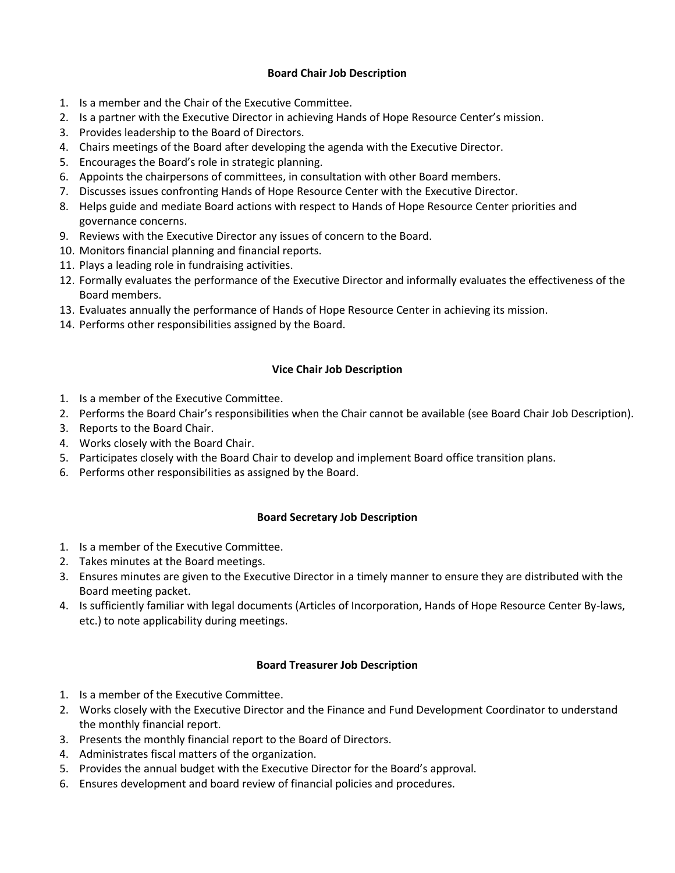#### **Board Chair Job Description**

- 1. Is a member and the Chair of the Executive Committee.
- 2. Is a partner with the Executive Director in achieving Hands of Hope Resource Center's mission.
- 3. Provides leadership to the Board of Directors.
- 4. Chairs meetings of the Board after developing the agenda with the Executive Director.
- 5. Encourages the Board's role in strategic planning.
- 6. Appoints the chairpersons of committees, in consultation with other Board members.
- 7. Discusses issues confronting Hands of Hope Resource Center with the Executive Director.
- 8. Helps guide and mediate Board actions with respect to Hands of Hope Resource Center priorities and governance concerns.
- 9. Reviews with the Executive Director any issues of concern to the Board.
- 10. Monitors financial planning and financial reports.
- 11. Plays a leading role in fundraising activities.
- 12. Formally evaluates the performance of the Executive Director and informally evaluates the effectiveness of the Board members.
- 13. Evaluates annually the performance of Hands of Hope Resource Center in achieving its mission.
- 14. Performs other responsibilities assigned by the Board.

#### **Vice Chair Job Description**

- 1. Is a member of the Executive Committee.
- 2. Performs the Board Chair's responsibilities when the Chair cannot be available (see Board Chair Job Description).
- 3. Reports to the Board Chair.
- 4. Works closely with the Board Chair.
- 5. Participates closely with the Board Chair to develop and implement Board office transition plans.
- 6. Performs other responsibilities as assigned by the Board.

#### **Board Secretary Job Description**

- 1. Is a member of the Executive Committee.
- 2. Takes minutes at the Board meetings.
- 3. Ensures minutes are given to the Executive Director in a timely manner to ensure they are distributed with the Board meeting packet.
- 4. Is sufficiently familiar with legal documents (Articles of Incorporation, Hands of Hope Resource Center By-laws, etc.) to note applicability during meetings.

#### **Board Treasurer Job Description**

- 1. Is a member of the Executive Committee.
- 2. Works closely with the Executive Director and the Finance and Fund Development Coordinator to understand the monthly financial report.
- 3. Presents the monthly financial report to the Board of Directors.
- 4. Administrates fiscal matters of the organization.
- 5. Provides the annual budget with the Executive Director for the Board's approval.
- 6. Ensures development and board review of financial policies and procedures.